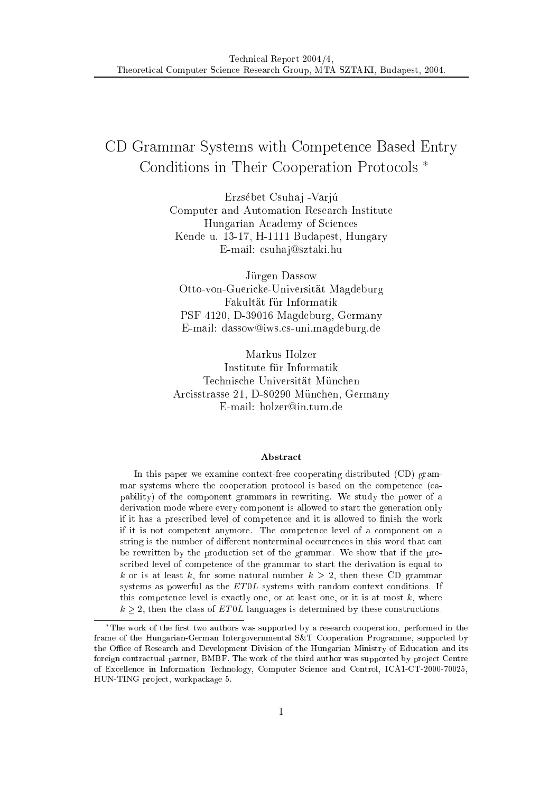# CD Grammar Systems with Competen
e Based Entry Conditions in Their Cooperation Protocols<sup>\*</sup>

Erzsébet Csuhaj - Varjú Computer and Automation Resear
h Institute Hungarian A
ademy of S
ien
es Kende u. 13-17, H-1111 Budapest, Hungary E-mail: csuhaj@sztaki.hu

Jürgen Dassow Otto-von-Guericke-Universität Magdeburg Fakultat fur Informatik PSF 4120, D-39016 Magdeburg, Germany E-mail: dassow@iws.cs-uni.magdeburg.de

Markus Holzer Institute fur Informatik Technische Universität München Arcisstrasse 21, D-80290 München, Germany E-mail: holzer@in.tum.de

### **Abstract**

In this paper we examine ontext-free ooperating distributed (CD) grammar systems where the ooperation proto
ol is based on the ompeten
e (
apability) of the omponent grammars in rewriting. We study the power of a derivation mode where every omponent is allowed to start the generation only if it has a prescribed level of competence and it is allowed to finish the work if it is not ompetent anymore. The ompeten
e level of a omponent on a string is the number of different nonterminal occurrences in this word that can be rewritten by the production set of the grammar. We show that if the pres
ribed level of ompeten
e of the grammar to start the derivation is equal to k or is at least k, for some natural number  $k > 2$ , then these CD grammar systems as powerful as the  $ET0L$  systems with random context conditions. If this competence level is exactly one, or at least one, or it is at most  $k$ , where  $k \geq 2$ , then the class of ET0L languages is determined by these constructions.

The work of the rst two authors was supported by a resear
h ooperation, performed in the frame of the Hungarian-German Intergovernmental S&T Cooperation Programme, supported by the Office of Research and Development Division of the Hungarian Ministry of Education and its foreign contractual partner, BMBF. The work of the third author was supported by project Centre of Ex
ellen
e in Information Te
hnology, Computer S
ien
e and Control, ICA1-CT-2000-70025, HUN-TING project, workpackage 5.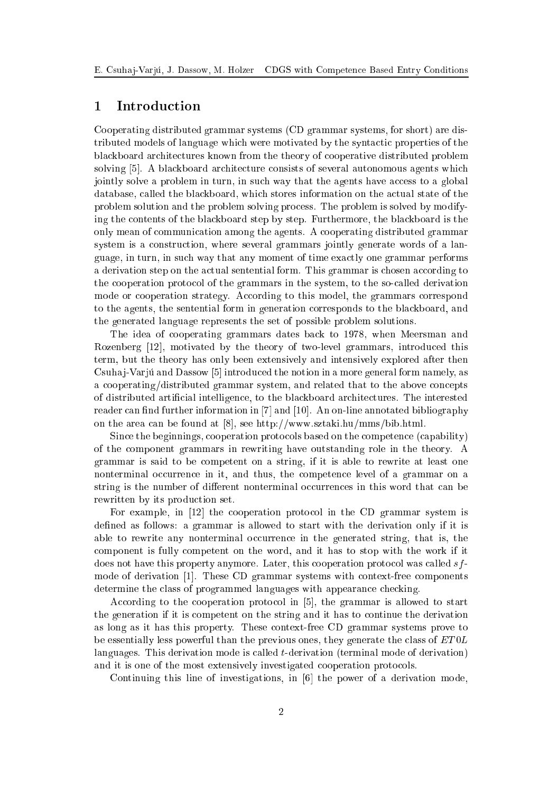## 1 Introduction

Cooperating distributed grammar systems (CD grammar systems, for short) are distributed models of language which were motivated by the syntactic properties of the bla
kboard ar
hite
tures known from the theory of ooperative distributed problem solving [5]. A blackboard architecture consists of several autonomous agents which jointly solve a problem in turn, in such way that the agents have access to a global database, alled the bla
kboard, whi
h stores information on the a
tual state of the problem solution and the problem solving pro
ess. The problem is solved by modifying the ontents of the bla
kboard step by step. Furthermore, the bla
kboard is the only mean of ommuni
ation among the agents. A ooperating distributed grammar system is a construction, where several grammars jointly generate words of a language, in turn, in su
h way that any moment of time exa
tly one grammar performs a derivation step on the actual sentential form. This grammar is chosen according to the ooperation proto
ol of the grammars in the system, to the soalled derivation mode or cooperation strategy. According to this model, the grammars correspond to the agents, the sentential form in generation corresponds to the blackboard, and the generated language represents the set of possible problem solutions.

The idea of ooperating grammars dates ba
k to 1978, when Meersman and Rozenberg [12], motivated by the theory of two-level grammars, introduced this term, but the theory has only been extensively and intensively explored after then Csuhaj-Varju and Dassow [5] introduced the notion in a more general form namely, as a cooperating/distributed grammar system, and related that to the above concepts of distributed arti
ial intelligen
e, to the bla
kboard ar
hite
tures. The interested reader can find further information in  $[7]$  and  $[10]$ . An on-line annotated bibliography on the area can be found at [8], see http://www.sztaki.hu/mms/bib.html.

Sin
e the beginnings, ooperation proto
ols based on the ompeten
e (
apability) of the omponent grammars in rewriting have outstanding role in the theory. A grammar is said to be ompetent on a string, if it is able to rewrite at least one nonterminal occurrence in it, and thus, the competence level of a grammar on a string is the number of different nonterminal occurrences in this word that can be rewritten by its production set.

For example, in  $[12]$  the cooperation protocol in the CD grammar system is defined as follows: a grammar is allowed to start with the derivation only if it is able to rewrite any nonterminal occurrence in the generated string, that is, the omponent is fully ompetent on the word, and it has to stop with the work if it does not have this property anymore. Later, this cooperation protocol was called  $sf$ mode of derivation [1]. These CD grammar systems with context-free components determine the class of programmed languages with appearance checking.

According to the cooperation protocol in [5], the grammar is allowed to start the generation if it is ompetent on the string and it has to ontinue the derivation as long as it has this property. These ontext-free CD grammar systems prove to be essentially less powerful than the previous ones, they generate the class of  $ET0L$ languages. This derivation mode is called *t*-derivation (terminal mode of derivation) and it is one of the most extensively investigated cooperation protocols.

Continuing this line of investigations, in  $[6]$  the power of a derivation mode,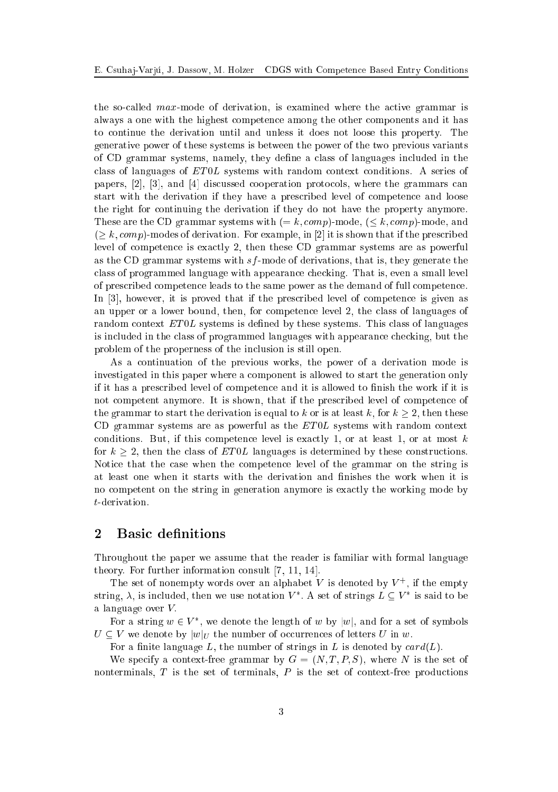the so-called max-mode of derivation, is examined where the active grammar is always a one with the highest ompeten
e among the other omponents and it has to ontinue the derivation until and unless it does not loose this property. The generative power of these systems is between the power of the two previous variants of CD grammar systems, namely, they dene a lass of languages in
luded in the class of languages of  $ET0L$  systems with random context conditions. A series of papers,  $[2]$ ,  $[3]$ , and  $[4]$  discussed cooperation protocols, where the grammars can start with the derivation if they have a pres
ribed level of ompeten
e and loose the right for ontinuing the derivation if they do not have the property anymore. These are the CD grammar systems with  $(= k, comp)$ -mode,  $(< k, comp)$ -mode, and  $($  k, comp)-modes of derivation. For example, in [2] it is shown that if the prescribed level of ompeten
e is exa
tly 2, then these CD grammar systems are as powerful as the CD grammar systems with  $sf$ -mode of derivations, that is, they generate the lass of programmed language with appearan
e he
king. That is, even a small level of pres
ribed ompeten
e leads to the same power as the demand of full ompeten
e. In  $[3]$ , however, it is proved that if the prescribed level of competence is given as an upper or a lower bound, then, for competence level 2, the class of languages of random context ET0L systems is defined by these systems. This class of languages is in
luded in the lass of programmed languages with appearan
e he
king, but the problem of the properness of the in
lusion is still open.

As a ontinuation of the previous works, the power of a derivation mode is investigated in this paper where a omponent is allowed to start the generation only if it has a pres
ribed level of ompeten
e and it is allowed to nish the work if it is not ompetent anymore. It is shown, that if the pres
ribed level of ompeten
e of the grammar to start the derivation is equal to k or is at least k, for  $k \geq 2$ , then these CD grammar systems are as powerful as the  $ET0L$  systems with random context conditions. But, if this competence level is exactly 1, or at least 1, or at most  $k$ for  $k \geq 2$ , then the class of ETOL languages is determined by these constructions. Notice that the case when the competence level of the grammar on the string is at least one when it starts with the derivation and finishes the work when it is no ompetent on the string in generation anymore is exa
tly the working mode by t-derivation.

## 2 Basic definitions

Throughout the paper we assume that the reader is familiar with formal language theory. For further information consult  $[7, 11, 14]$ .

The set of nonempty words over an alphabet V is denoted by  $V^+$ , if the empty string,  $\lambda$ , is included, then we use notation  $V^*$ . A set of strings  $L \subseteq V^*$  is said to be a language over  $V$ .

For a string  $w \in V^*$ , we denote the length of w by  $|w|$ , and for a set of symbols  $U \subseteq V$  we denote by  $|w|_U$  the number of occurrences of letters U in w.

For a finite language L, the number of strings in L is denoted by  $card(L)$ .

We specify a context-free grammar by  $G = (N, T, P, S)$ , where N is the set of nonterminals,  $T$  is the set of terminals,  $P$  is the set of context-free productions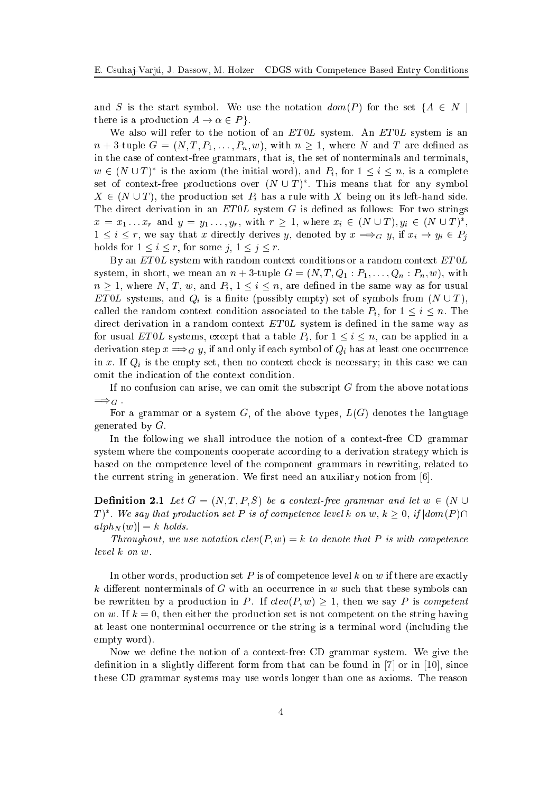and S is the start symbol. We use the notation  $dom(P)$  for the set  $\{A \in N \mid$ there is a production  $A \to \alpha \in P$ .

We also will refer to the notion of an  $ET0L$  system. An  $ET0L$  system is an  $n+3$ -tuple  $G = (N, T, P_1, \ldots, P_n, w)$ , with  $n \geq 1$ , where N and T are defined as in the ase of ontext-free grammars, that is, the set of nonterminals and terminals,  $w \in (N \cup T)^*$  is the axiom (the initial word), and  $P_i$ , for  $1 \leq i \leq n$ , is a complete set of context-free productions over  $(N \cup T)^*$ . This means that for any symbol  $X \in (N \cup T)$ , the production set  $P_i$  has a rule with X being on its left-hand side. The direct derivation in an  $ET0L$  system G is defined as follows: For two strings  $x = x_1 \dots x_r$  and  $y = y_1 \dots, y_r$ , with  $r \geq 1$ , where  $x_i \in (N \cup T), y_i \in (N \cup T)^*$ ,  $1 \leq i \leq r$ , we say that x directly derives y, denoted by  $x \Longrightarrow_G y$ , if  $x_i \to y_i \in P_j$ holds for  $1 \leq i \leq r$ , for some  $j, 1 \leq j \leq r$ .

By an  $ET0L$  system with random context conditions or a random context  $ET0L$ system, in short, we mean an  $n+3$ -tuple  $G = (N, T, Q_1 : P_1, \ldots, Q_n : P_n, w)$ , with  $n \geq 1$ , where N, T, w, and  $P_i$ ,  $1 \leq i \leq n$ , are defined in the same way as for usual ETOL systems, and  $Q_i$  is a finite (possibly empty) set of symbols from  $(N \cup T)$ , called the random context condition associated to the table  $P_i$ , for  $1 \leq i \leq n$ . The direct derivation in a random context  $ET0L$  system is defined in the same way as for usual ET0L systems, except that a table  $P_i$ , for  $1 \leq i \leq n$ , can be applied in a derivation step  $x \Longrightarrow_G y$ , if and only if each symbol of  $Q_i$  has at least one occurrence in x. If  $Q_i$  is the empty set, then no context check is necessary; in this case we can omit the indication of the context condition.

If no confusion can arise, we can omit the subscript  $G$  from the above notations  $\Longrightarrow_G$ .

For a grammar or a system  $G$ , of the above types,  $L(G)$  denotes the language generated by G:

In the following we shall introduce the notion of a context-free CD grammar system where the components cooperate according to a derivation strategy which is based on the ompeten
e level of the omponent grammars in rewriting, related to the current string in generation. We first need an auxiliary notion from [6].

**Definition 2.1** Let  $G = (N, T, P, S)$  be a context-free grammar and let  $w \in (N \cup$  $T)^*.$  We say that production set P is of competence level k on w,  $k\geq 0,$  if  $|dom(P)\cap D|$  $a lph_N (w) = k \text{ holds.}$ 

Throughout, we use notation  $dev(P, w) = k$  to denote that P is with competence level k on w.

In other words, production set  $P$  is of competence level  $k$  on  $w$  if there are exactly k different nonterminals of G with an occurrence in w such that these symbols can be rewritten by a production in P. If  $clev(P, w) > 1$ , then we say P is competent on w. If  $k = 0$ , then either the production set is not competent on the string having at least one nonterminal occurrence or the string is a terminal word (including the empty word).

Now we define the notion of a context-free CD grammar system. We give the definition in a slightly different form from that can be found in  $[7]$  or in  $[10]$ , since these CD grammar systems may use words longer than one as axioms. The reason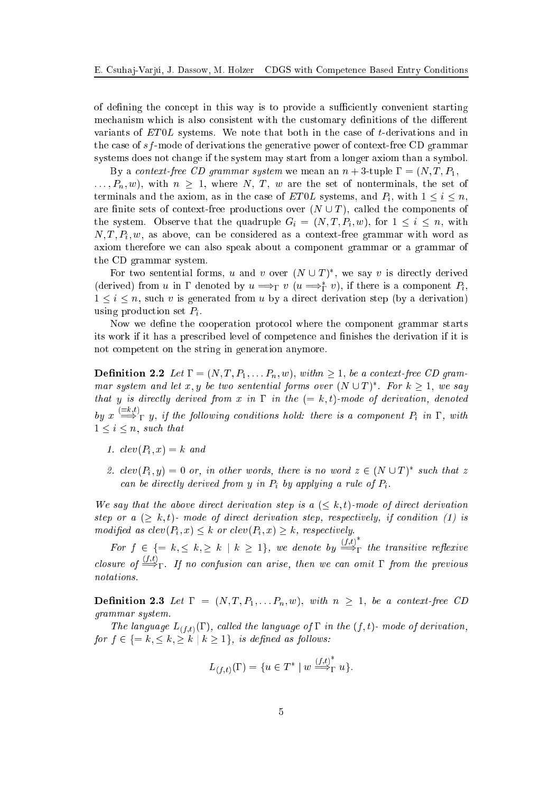of defining the concept in this way is to provide a sufficiently convenient starting mechanism which is also consistent with the customary definitions of the different variants of  $ET0L$  systems. We note that both in the case of t-derivations and in the case of sf-mode of derivations the generative power of context-free CD grammar systems does not hange if the system may start from a longer axiom than a symbol.

By a context-free CD grammar system we mean an  $n + 3$ -tuple  $\Gamma = (N, T, P_1, \Gamma_2)$  $\ldots, P_n, w$ , with  $n \geq 1$ , where N, T, w are the set of nonterminals, the set of terminals and the axiom, as in the case of ET0L systems, and  $P_i$ , with  $1 \leq i \leq n$ , are finite sets of context-free productions over  $(N \cup T)$ , called the components of the system. Observe that the quadruple  $G_i = (N, T, P_i, w)$ , for  $1 \leq i \leq n$ , with  $N, T, P_i, w$ , as above, can be considered as a context-free grammar with word as axiom therefore we an also speak about a omponent grammar or a grammar of the CD grammar system.

For two sentential forms, u and v over  $(N \cup T)^*$ , we say v is directly derived (derived) from u in  $\Gamma$  denoted by  $u \Longrightarrow_{\Gamma} v (u \Longrightarrow_{\Gamma}^* v)$ , if there is a component  $P_i$ ,  $1 \leq i \leq n$ , such v is generated from u by a direct derivation step (by a derivation) using production set  $P_i$ .

Now we define the cooperation protocol where the component grammar starts its work if it has a pres
ribed level of ompeten
e and nishes the derivation if it is not ompetent on the string in generation anymore.

**Definition 2.2** Let  $\Gamma = (N, T, P_1, \ldots, P_n, w)$ , with  $n \geq 1$ , be a context-free CD grammar system and let x, y be two sentential forms over  $(N \cup T)^*$ . For  $k \geq 1$ , we say that y is directly derived from x in  $\Gamma$  in the  $(= k, t)$ -mode of derivation, denoted by  $x \stackrel{:= k,t)}{\Longrightarrow}_{\Gamma} y$ , if the following conditions hold: there is a component  $P_i$  in  $\Gamma$ , with  $1 \leq i \leq n$ , such that

- 1.  $clev(P_i, x) = k$  and
- 2.  $clev(P_i, y) = 0$  or, in other words, there is no word  $z \in (N \cup T)^*$  such that z can be directly derived from y in  $P_i$  by applying a rule of  $P_i$ .

We say that the above direct derivation step is a  $(\leq k, t)$ -mode of direct derivation step or a  $(\geq k, t)$ - mode of direct derivation step, respectively, if condition (1) is modified as  $clev(P_i, x) \leq k$  or  $clev(P_i, x) \geq k$ , respectively.

For  $f \in \{ = k, \leq k, \geq k \mid k \geq 1 \}$ , we denote by  $\xrightarrow{(f,t)}$  $\mathbf{1}$  and transitive relationships relationships relationships  $\mathbf{1}$ closure of  $\stackrel{(f,t)}{\Longrightarrow}_{\Gamma}$ . If no confusion can arise, then we can omit  $\Gamma$  from the previous notations.

**Definition 2.3** Let  $\Gamma = (N, T, P_1, \ldots, P_n, w)$ , with  $n \geq 1$ , be a context-free CD grammar system.

The language  $L_{(f,t)}(\Gamma)$ , called the language of  $\Gamma$  in the  $(f,t)$ - mode of derivation, for  $f \in \{ =k, \leq k, \geq k \mid k \geq 1 \},\; is\; defined\; as\; follows:$ 

$$
L_{(f,t)}(\Gamma) = \{ u \in T^* \mid w \stackrel{(f,t)^*}{\Longrightarrow}_{\Gamma} u \}.
$$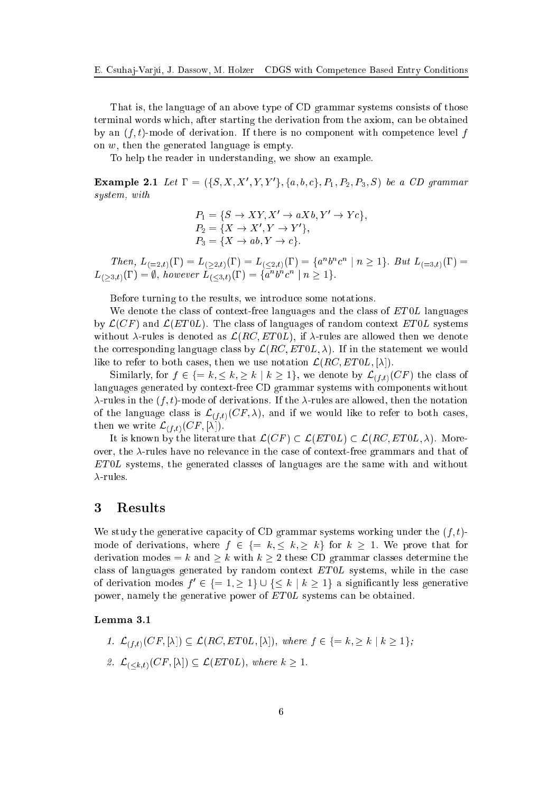That is, the language of an above type of CD grammar systems onsists of those terminal words whi
h, after starting the derivation from the axiom, an be obtained by an  $(f, t)$ -mode of derivation. If there is no component with competence level f on w, then the generated language is empty.

To help the reader in understanding, we show an example.

**Example 2.1** Let  $\Gamma = (\{S, X, X', Y, Y'\}, \{a, b, c\}, P_1, P_2, P_3, S)$  be a CD grammar system, with

$$
P_1 = \{ S \rightarrow XY, X' \rightarrow aXb, Y' \rightarrow Yc \},
$$
  
\n
$$
P_2 = \{ X \rightarrow X', Y \rightarrow Y' \},
$$
  
\n
$$
P_3 = \{ X \rightarrow ab, Y \rightarrow c \}.
$$

Then,  $L_{(-2,t)}(\Gamma) = L_{(>2,t)}(\Gamma) = L_{(<2,t)}(\Gamma) = \{a^n b^n c^n \mid n \geq 1\}$ . But  $L_{(-3,t)}(\Gamma) =$  $L_{(>3,t)}(\Gamma)=\emptyset, \; however \; L_{(<3,t)}(\Gamma)=\{a^nb^nc^n \; | \; n \geq 1\}.$ 

Before turning to the results, we introdu
e some notations.

We denote the class of context-free languages and the class of  $ET0L$  languages by  $\mathcal{L}(CF)$  and  $\mathcal{L}(ET0L)$ . The class of languages of random context ET0L systems without  $\lambda$ -rules is denoted as  $\mathcal{L}(RC, ETOL)$ , if  $\lambda$ -rules are allowed then we denote the corresponding language class by  $\mathcal{L}(RC, ETOL, \lambda)$ . If in the statement we would like to refer to both cases, then we use notation  $\mathcal{L}(RC, ETOL, [\lambda])$ .

Similarly, for  $f \in \{ = k, \leq k, \geq k \mid k \geq 1 \}$ , we denote by  $\mathcal{L}_{(f,t)}(CF)$  the class of languages generated by ontext-free CD grammar systems with omponents without  $\lambda$ -rules in the  $(f, t)$ -mode of derivations. If the  $\lambda$ -rules are allowed, then the notation of the language class is  $\mathcal{L}_{(f,t)}(CF, \lambda)$ , and if we would like to refer to both cases, then we write  $\mathcal{L}_{(f,t)}(CF, [\lambda]).$ 

It is known by the literature that  $\mathcal{L}(CF) \subset \mathcal{L}(ET0L) \subset \mathcal{L}(RC, ET0L, \lambda)$ . Moreover, the  $\lambda$ -rules have no relevance in the case of context-free grammars and that of ET 0L systems, the generated lasses of languages are the same with and without  $\lambda$ -rules.

## <sup>3</sup> Results

We study the generative capacity of CD grammar systems working under the  $(f, t)$ mode of derivations, where  $f \in \{ = k, \leq k, \geq k \}$  for  $k \geq 1$ . We prove that for derivation modes = k and  $\geq k$  with  $k \geq 2$  these CD grammar classes determine the class of languages generated by random context  $ET0L$  systems, while in the case of derivation modes  $f' \in \{ = 1, \geq 1 \} \cup \{ \leq k | k \geq 1 \}$  a significantly less generative power, namely the generative power of ET0L systems can be obtained.

#### Lemma 3.1

\n- $$
\mathcal{L}_{(f,t)}(CF, [\lambda]) \subseteq \mathcal{L}(RC, ETOL, [\lambda]),
$$
 where  $f \in \{=k, \geq k \mid k \geq 1\};$
\n- $\mathcal{L}_{( where  $k \geq 1.$$
\n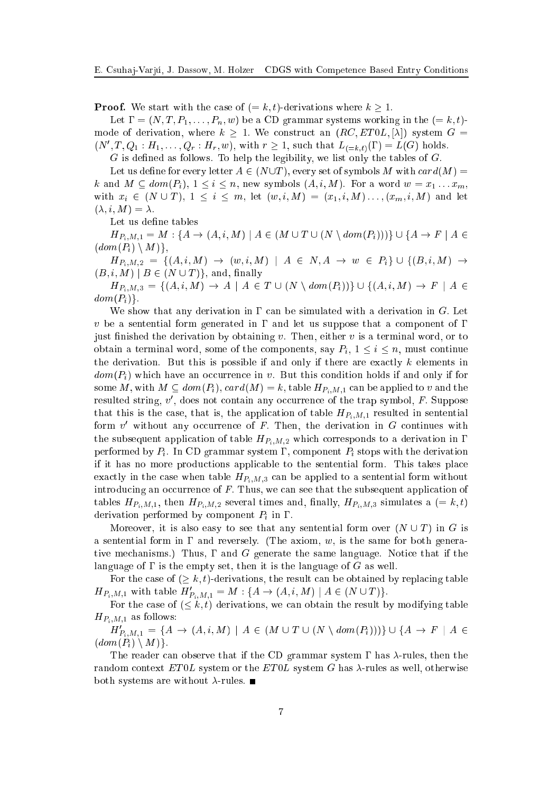**Proof.** We start with the case of  $(= k, t)$ -derivations where  $k \geq 1$ .

Let  $\Gamma = (N, T, P_1, \ldots, P_n, w)$  be a CD grammar systems working in the  $(= k, t)$ mode of derivation, where  $k \geq 1$ . We construct an  $(RC, ET0L, [\lambda])$  system  $G =$  $(N', T, Q_1 : H_1, \ldots, Q_r : H_r, w)$ , with  $r \geq 1$ , such that  $L_{(-k,t)}(\Gamma) = L(G)$  holds.

 $G$  is defined as follows. To help the legibility, we list only the tables of  $G$ .

Let us define for every letter  $A \in (N \cup T)$ , every set of symbols M with  $card(M)$  = k and  $M \subseteq dom(P_i)$ ,  $1 \leq i \leq n$ , new symbols  $(A, i, M)$ . For a word  $w = x_1 \dots x_m$ , with  $x_i \in (N \cup T), 1 \le i \le m$ , let  $(w, i, M) = (x_1, i, M) \dots, (x_m, i, M)$  and let  $(\lambda, i, M) = \lambda.$ 

Let us define tables

 $H_{P_i,M,1} = M : \{A \to (A,i,M) \mid A \in (M \cup T \cup (N \setminus dom(P_i)))\} \cup \{A \to F \mid A \in$  $dom(P_i) \setminus M$ ,

 $H_{P_i,M,2} = \{ (A,i,M) \rightarrow (w,i,M) \mid A \in N, A \rightarrow w \in P_i \} \cup \{ (B,i,M) \rightarrow$  $(B, i, M) | B \in (N \cup T)$ , and, finally

 $H_{P_i,M,3} = \{(A,i,M) \rightarrow A \mid A \in T \cup (N \setminus dom(P_i))\} \cup \{(A,i,M) \rightarrow F \mid A \in T \setminus dom(P_i)\}$  $dom(P_i)\}.$ 

We show that any derivation in  $\Gamma$  can be simulated with a derivation in G. Let v be a sentential form generated in  $\Gamma$  and let us suppose that a component of  $\Gamma$ just finished the derivation by obtaining v. Then, either v is a terminal word, or to obtain a terminal word, some of the components, say  $P_i$ ,  $1 \leq i \leq n$ , must continue the derivation. But this is possible if and only if there are exactly  $k$  elements in  $dom(P_i)$  which have an occurrence in v. But this condition holds if and only if for some M, with  $M \subseteq dom(P_i)$ ,  $card(M) = k$ , table  $H_{P_i,M,1}$  can be applied to v and the resulted string,  $v'$ , does not contain any occurrence of the trap symbol, F. Suppose that this is the case, that is, the application of table  $H_{P_i,M,1}$  resulted in sentential form  $v'$  without any occurrence of F. Then, the derivation in G continues with the subsequent application of table  $H_{P_i,M,2}$  which corresponds to a derivation in  $\Gamma$ performed by  $P_i$ . In CD grammar system  $\Gamma$ , component  $P_i$  stops with the derivation if it has no more produ
tions appli
able to the sentential form. This takes pla
e exactly in the case when table  $H_{P_i,M,3}$  can be applied to a sentential form without introducing an occurrence of  $F$ . Thus, we can see that the subsequent application of tables  $H_{P_i,M,1}$ , then  $H_{P_i,M,2}$  several times and, finally,  $H_{P_i,M,3}$  simulates a (= k, t) derivation performed by component  $P_i$  in  $\Gamma$ .

Moreover, it is also easy to see that any sentential form over  $(N \cup T)$  in G is a sentential form in  $\Gamma$  and reversely. (The axiom, w, is the same for both generative mechanisms.) Thus,  $\Gamma$  and  $G$  generate the same language. Notice that if the language of  $\Gamma$  is the empty set, then it is the language of G as well.

For the case of  $(\geq k, t)$ -derivations, the result can be obtained by replacing table  $H_{P_i,M,1} \,\,\text{with } \text{table}\,\, H'_{P_i,M,1} = M: \{A \to (A,i,M) \mid A \in (N \cup T)\}.$ 

For the case of  $(\leq k, t)$  derivations, we can obtain the result by modifying table  $H_{P_i,M,1}$  as follows:

 $H'_{P_i,M,1} \,=\,\{A \,\rightarrow\, (A,i,M) \,\mid\, A \,\in\, (M\,\cup T\,\cup\, (N\,\setminus\, dom(P_i)))\} \,\cup\,\{A \,\rightarrow\, F\,\mid\, A \,\in\, T\}$  $dom(P_i) \setminus M$  }.

The reader can observe that if the CD grammar system  $\Gamma$  has  $\lambda$ -rules, then the random context  $ET0L$  system or the  $ET0L$  system G has  $\lambda$ -rules as well, otherwise both systems are without  $\lambda$ -rules.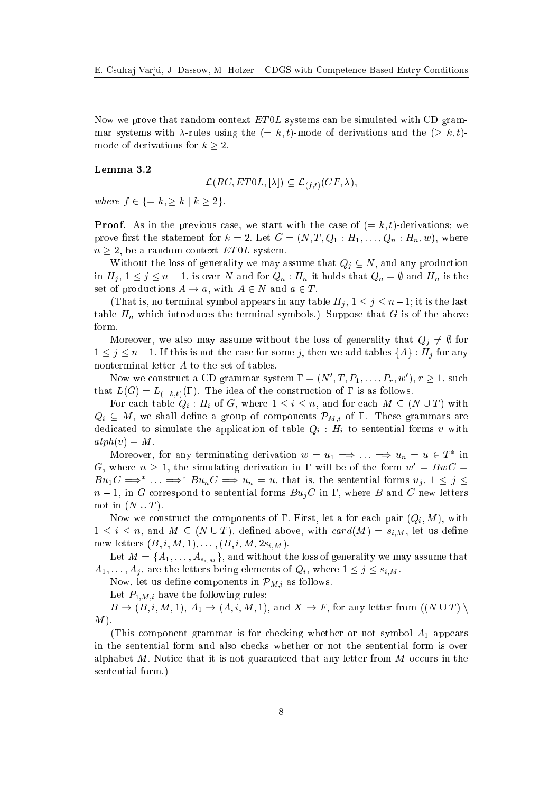Now we prove that random context ET0L systems can be simulated with CD grammar systems with  $\lambda$ -rules using the  $(= k, t)$ -mode of derivations and the  $(> k, t)$ mode of derivations for  $k \geq 2$ .

#### Lemma 3.2

$$
\mathcal{L}(RC, ETOL, [\lambda]) \subseteq \mathcal{L}_{(f,t)}(CF, \lambda),
$$

where  $f \in \{ = k, \geq k \mid k \geq 2\}.$ 

**Proof.** As in the previous case, we start with the case of  $(= k, t)$ -derivations; we prove first the statement for  $k = 2$ . Let  $G = (N, T, Q_1 : H_1, \ldots, Q_n : H_n, w)$ , where  $n \geq 2$ , be a random context ET0L system.

Without the loss of generality we may assume that  $Q_j \subseteq N$ , and any production in  $H_j$ ,  $1 \leq j \leq n-1$ , is over N and for  $Q_n : H_n$  it holds that  $Q_n = \emptyset$  and  $H_n$  is the set of productions  $A \to a$ , with  $A \in N$  and  $a \in T$ .

(That is, no terminal symbol appears in any table  $H_i$ ,  $1 \leq j \leq n-1$ ; it is the last table  $H_n$  which introduces the terminal symbols.) Suppose that G is of the above form.

Moreover, we also may assume without the loss of generality that  $Q_j \neq \emptyset$  for  $1 \leq j \leq n-1$ . If this is not the case for some j, then we add tables  $\{A\} : H_j$  for any nonterminal letter A to the set of tables.

Now we construct a CD grammar system  $\Gamma = (N', T, P_1, \ldots, P_r, w'), r \geq 1$ , such that  $L(G) = L_{(-k,t)}(\Gamma)$ . The idea of the construction of  $\Gamma$  is as follows.

For each table  $Q_i$ :  $H_i$  of G, where  $1 \leq i \leq n$ , and for each  $M \subseteq (N \cup T)$  with  $Q_i \subseteq M$ , we shall define a group of components  $\mathcal{P}_{M,i}$  of  $\Gamma$ . These grammars are dedicated to simulate the application of table  $Q_i$ :  $H_i$  to sentential forms v with  $alph(v) = M.$ 

Moreover, for any terminating derivation  $w = u_1 \implies \ldots \implies u_n = u \in T^*$  in G, where  $n \geq 1$ , the simulating derivation in  $\Gamma$  will be of the form  $w' = BwC =$  $Bu_1C \Longrightarrow^* \ldots \Longrightarrow^* Bu_nC \Longrightarrow u_n = u$ , that is, the sentential forms  $u_j, 1 \leq j \leq n$  $n-1$ , in G correspond to sentential forms  $Bu_jC$  in  $\Gamma$ , where B and C new letters not in  $(N \cup T)$ .

Now we construct the components of  $\Gamma$ . First, let a for each pair  $(Q_i, M)$ , with  $1 \leq i \leq n$ , and  $M \subseteq (N \cup T)$ , defined above, with  $card(M) = s_{i,M}$ , let us define new letters  $(B, i, M, 1), \ldots, (B, i, M, 2s_{i,M}).$ 

Let  $M = \{A_1, \ldots, A_{s_{i,M}}\}$ , and without the loss of generality we may assume that  $A_1, \ldots, A_j$ , are the letters being elements of  $Q_i$ , where  $1 \leq j \leq s_{i,M}$ .

Now, let us define components in  $\mathcal{P}_{M,i}$  as follows.

Let  $P_{1,M,i}$  have the following rules:

 $B \to (B, i, M, 1), A_1 \to (A, i, M, 1), \text{ and } X \to F$ , for any letter from  $((N \cup T) \setminus$  $M$ ).

(This component grammar is for checking whether or not symbol  $A_1$  appears in the sentential form and also checks whether or not the sentential form is over alphabet  $M$ . Notice that it is not guaranteed that any letter from  $M$  occurs in the sentential form.)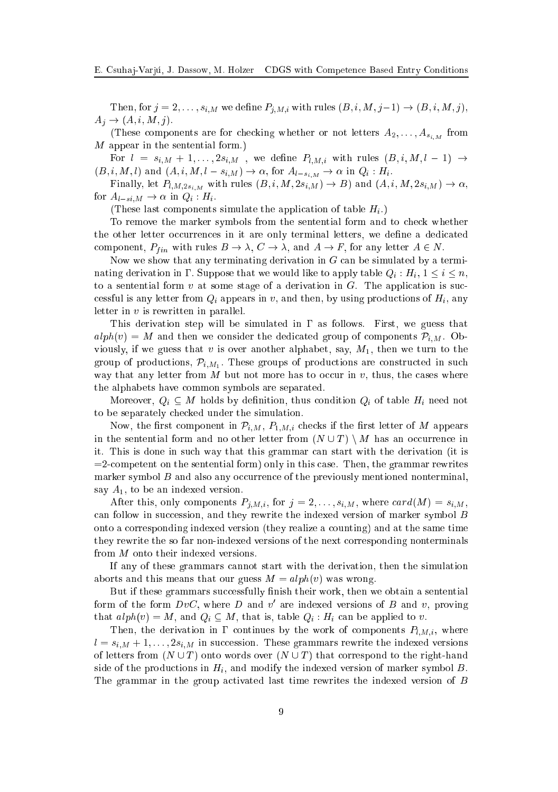Then, for  $j = 2, \ldots, s_{i,M}$  we define  $P_{j,M,i}$  with rules  $(B, i, M, j-1) \rightarrow (B, i, M, j)$ ,  $A_j \rightarrow (A, i, M, j).$ 

(These components are for checking whether or not letters  $A_2, \ldots, A_{s_{i,M}}$  from M appear in the sentential form.)

For  $l = s_{i,M} + 1, \ldots, 2s_{i,M}$ , we define  $P_{l,M,i}$  with rules  $(B, i, M, l - 1) \rightarrow$  $(B, i, M, l)$  and  $(A, i, M, l - s_{i,M}) \rightarrow \alpha$ , for  $A_{l-s_{i,M}} \rightarrow \alpha$  in  $Q_i : H_i$ .

Finally, let  $P_{l,M,2s_{i,M}}$  with rules  $(B, i, M, 2s_{i,M}) \rightarrow B$ ) and  $(A, i, M, 2s_{i,M}) \rightarrow \alpha$ , for  $A_{l-si,M} \to \alpha$  in  $Q_i : H_i$ .

(These last components simulate the application of table  $H_i$ .)

To remove the marker symbols from the sentential form and to he
k whether the other letter occurrences in it are only terminal letters, we define a dedicated component,  $P_{fin}$  with rules  $B \to \lambda$ ,  $C \to \lambda$ , and  $A \to F$ , for any letter  $A \in N$ .

Now we show that any terminating derivation in  $G$  can be simulated by a terminating derivation in  $\Gamma$ . Suppose that we would like to apply table  $Q_i : H_i, 1 \leq i \leq n$ , to a sentential form  $v$  at some stage of a derivation in  $G$ . The application is successful is any letter from  $Q_i$  appears in v, and then, by using productions of  $H_i$ , any letter in v is rewritten in parallel.

This derivation step will be simulated in  $\Gamma$  as follows. First, we guess that  $alpha(v) = M$  and then we consider the dedicated group of components  $\mathcal{P}_{i,M}$ . Obviously, if we guess that v is over another alphabet, say,  $M_1$ , then we turn to the group of productions,  $\mathcal{P}_{i,M_1}$ . These groups of productions are constructed in such way that any letter from  $M$  but not more has to occur in  $v$ , thus, the cases where the alphabets have ommon symbols are separated.

Moreover,  $Q_i \subseteq M$  holds by definition, thus condition  $Q_i$  of table  $H_i$  need not to be separately he
ked under the simulation.

Now, the first component in  $\mathcal{P}_{i,M}$ ,  $P_{1,M,i}$  checks if the first letter of M appears in the sentential form and no other letter from  $(N \cup T) \setminus M$  has an occurrence in it. This is done in such way that this grammar can start with the derivation (it is =2ompetent on the sentential form) only in this ase. Then, the grammar rewrites marker symbol  $B$  and also any occurrence of the previously mentioned nonterminal. say  $A_1$ , to be an indexed version.

After this, only components  $P_{i,M,i}$ , for  $j = 2, \ldots, s_{i,M}$ , where  $card(M) = s_{i,M}$ , can follow in succession, and they rewrite the indexed version of marker symbol  $B$ onto a orresponding indexed version (they realize a ounting) and at the same time they rewrite the so far non-indexed versions of the next orresponding nonterminals from M onto their indexed versions.

If any of these grammars annot start with the derivation, then the simulation aborts and this means that our guess  $M = alpha(v)$  was wrong.

But if these grammars successfully finish their work, then we obtain a sentential form of the form  $Dvc$ , where D and v' are indexed versions of B and v, proving that  $alph(v) = M$ , and  $Q_i \subseteq M$ , that is, table  $Q_i : H_i$  can be applied to v.

Then, the derivation in  $\Gamma$  continues by the work of components  $P_{l,M,i}$ , where  $l = s_{i,M} + 1, \ldots, 2s_{i,M}$  in succession. These grammars rewrite the indexed versions of letters from  $(N \cup T)$  onto words over  $(N \cup T)$  that correspond to the right-hand side of the productions in  $H_i$ , and modify the indexed version of marker symbol  $B$ . The grammar in the group activated last time rewrites the indexed version of B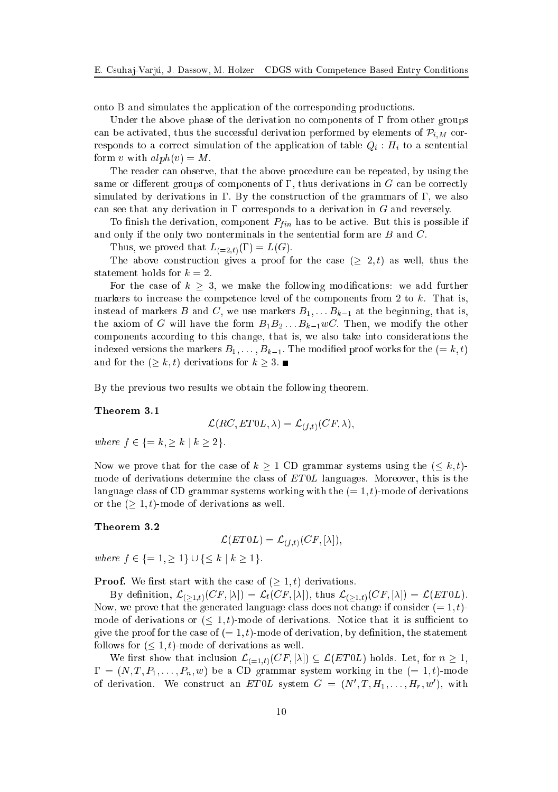onto B and simulates the appli
ation of the orresponding produ
tions.

Under the above phase of the derivation no components of  $\Gamma$  from other groups can be activated, thus the successful derivation performed by elements of  $\mathcal{P}_{i,M}$  corresponds to a correct simulation of the application of table  $Q_i$ :  $H_i$  to a sentential form v with  $alph(v) = M$ .

The reader an observe, that the above pro
edure an be repeated, by using the same or different groups of components of  $\Gamma$ , thus derivations in  $G$  can be correctly simulated by derivations in  $\Gamma$ . By the construction of the grammars of  $\Gamma$ , we also can see that any derivation in  $\Gamma$  corresponds to a derivation in G and reversely.

To finish the derivation, component  $P_{fin}$  has to be active. But this is possible if and only if the only two nonterminals in the sentential form are B and C.

Thus, we proved that  $L_{(=2,t)}(\Gamma) = L(G)$ .

The above construction gives a proof for the case  $(2, t)$  as well, thus the statement holds for  $k = 2$ .

For the case of  $k \geq 3$ , we make the following modifications: we add further markers to increase the competence level of the components from 2 to  $k$ . That is, instead of markers B and C, we use markers  $B_1, \ldots, B_{k-1}$  at the beginning, that is, the axiom of G will have the form  $B_1B_2...B_{k-1}wC$ . Then, we modify the other components according to this change, that is, we also take into considerations the indexed versions the markers  $B_1, \ldots, B_{k-1}$ . The modified proof works for the  $(=k, t)$ and for the  $(\geq k, t)$  derivations for  $k \geq 3$ .

By the previous two results we obtain the following theorem.

#### Theorem 3.1

$$
\mathcal{L} (RC, E T0L, \lambda) = \mathcal{L}_{(f,t)} (CF, \lambda),
$$

where  $f \in \{ = k, \geq k \mid k \geq 2 \}.$ 

Now we prove that for the case of  $k \geq 1$  CD grammar systems using the  $(\leq k, t)$ mode of derivations determine the class of  $ET0L$  languages. Moreover, this is the language class of CD grammar systems working with the  $(= 1, t)$ -mode of derivations or the  $($   $> 1, t)$ -mode of derivations as well.

#### Theorem 3.2

$$
\mathcal{L}(ET0L) = \mathcal{L}_{(f,t)}(CF, [\lambda]),
$$

where  $f \in \{ = 1, \geq 1 \} \cup \{ \leq k \mid k \geq 1 \}.$ 

**Proof.** We first start with the case of  $( \geq 1, t)$  derivations.

By definition,  $\mathcal{L}_{(\geq 1,t)}(CF, [\lambda]) = \mathcal{L}_t(CF, [\lambda]),$  thus  $\mathcal{L}_{(\geq 1,t)}(CF, [\lambda]) = \mathcal{L}(ET0L).$ Now, we prove that the generated language class does not change if consider  $(= 1, t)$ mode of derivations or  $(\leq 1, t)$ -mode of derivations. Notice that it is sufficient to give the proof for the case of  $(= 1, t)$ -mode of derivation, by definition, the statement follows for  $(\leq 1, t)$ -mode of derivations as well.

We first show that inclusion  $\mathcal{L}_{(-1,t)}(CF, [\lambda]) \subseteq \mathcal{L}(ET0L)$  holds. Let, for  $n \geq 1$ ,  $\Gamma = (N, T, P_1, \ldots, P_n, w)$  be a CD grammar system working in the  $(= 1, t)$ -mode of derivation. We construct an  $ET0L$  system  $G = (N', T, H_1, \ldots, H_r, w')$ , with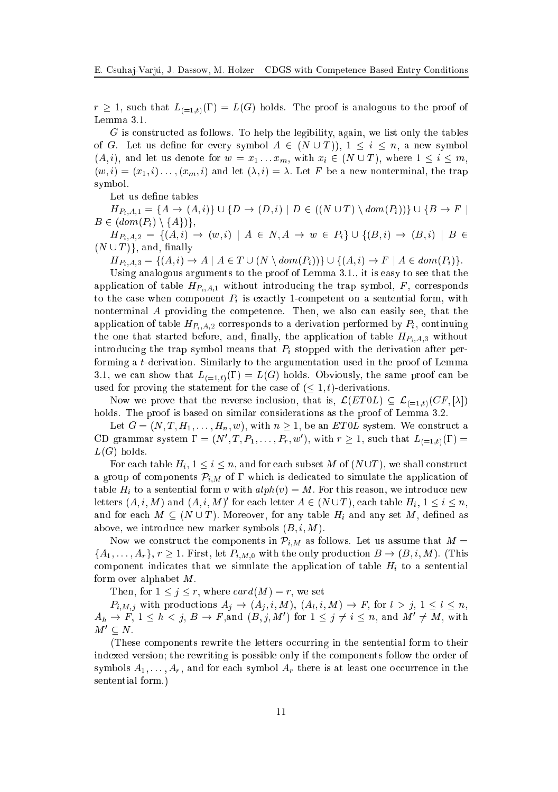$r \geq 1$ , such that  $L_{(-1,t)}(\Gamma) = L(G)$  holds. The proof is analogous to the proof of Lemma 3.1.

G is onstru
ted as follows. To help the legibility, again, we list only the tables of G. Let us define for every symbol  $A \in (N \cup T)$ ,  $1 \leq i \leq n$ , a new symbol  $(A, i)$ , and let us denote for  $w = x_1 \ldots x_m$ , with  $x_i \in (N \cup T)$ , where  $1 \le i \le m$ ,  $(w, i) = (x_1, i) \dots, (x_m, i)$  and let  $(\lambda, i) = \lambda$ . Let F be a new nonterminal, the trap symbol.

Let us define tables

 $H_{P_i, A, 1} = \{A \to (A, i)\} \cup \{D \to (D, i) \mid D \in ((N \cup T) \setminus dom(P_i))\} \cup \{B \to F \mid D_i\}$  $B \in (dom(P_i) \setminus \{A\})\},\$  $H_{P_i, A, 2} = \{ (A, i) \rightarrow (w, i) \mid A \in N, A \rightarrow w \in P_i \} \cup \{ (B, i) \rightarrow (B, i) \mid B \in$  $(N \cup T)$ , and, finally

 $H_{P_i, A, 3} = \{ (A, i) \to A \mid A \in T \cup (N \setminus dom(P_i)) \} \cup \{ (A, i) \to F \mid A \in dom(P_i) \}.$ 

Using analogous arguments to the proof of Lemma 3.1., it is easy to see that the application of table  $H_{P_i,A,1}$  without introducing the trap symbol, F, corresponds to the case when component  $P_i$  is exactly 1-competent on a sentential form, with nonterminal A providing the ompeten
e. Then, we also an easily see, that the application of table  $H_{P_i,A,2}$  corresponds to a derivation performed by  $P_i$ , continuing the one that started before, and, finally, the application of table  $H_{P_i,A,3}$  without introducing the trap symbol means that  $P_i$  stopped with the derivation after performing a t-derivation. Similarly to the argumentation used in the proof of Lemma 3.1, we can show that  $L_{(-1,t)}(\Gamma) = L(G)$  holds. Obviously, the same proof can be used for proving the statement for the case of  $(\leq 1, t)$ -derivations.

Now we prove that the reverse inclusion, that is,  $\mathcal{L}(ET0L) \subseteq \mathcal{L}_{(-1,t)}(CF, [\lambda])$ holds. The proof is based on similar considerations as the proof of Lemma 3.2.

Let  $G = (N, T, H_1, \ldots, H_n, w)$ , with  $n \geq 1$ , be an *ETOL* system. We construct a CD grammar system  $\Gamma = (N', T, P_1, \ldots, P_r, w')$ , with  $r \geq 1$ , such that  $L_{(=1,t)}(\Gamma) =$  $L(G)$  holds.

For each table  $H_i$ ,  $1 \leq i \leq n$ , and for each subset M of  $(N \cup T)$ , we shall construct a group of components  $\mathcal{P}_{i,M}$  of  $\Gamma$  which is dedicated to simulate the application of table  $H_i$  to a sentential form v with  $alph(v) = M$ . For this reason, we introduce new letters  $(A, i, M)$  and  $(A, i, M)'$  for each letter  $A \in (N \cup T)$ , each table  $H_i$ ,  $1 \leq i \leq n$ , and for each  $M \subseteq (N \cup T)$ . Moreover, for any table  $H_i$  and any set M, defined as above, we introduce new marker symbols  $(B, i, M)$ .

Now we construct the components in  $\mathcal{P}_{i,M}$  as follows. Let us assume that  $M =$  $\{A_1,\ldots,A_r\}, r\geq 1.$  First, let  $P_{i,M,0}$  with the only production  $B\to (B,i,M)$ . (This component indicates that we simulate the application of table  $H_i$  to a sentential form over alphabet  $M$ .

Then, for  $1 \leq j \leq r$ , where  $card(M) = r$ , we set

 $P_{i,M,j}$  with productions  $A_j \to (A_j,i,M)$ ,  $(A_l,i,M) \to F$ , for  $l > j$ ,  $1 \leq l \leq n$ ,  $A_h \to F$ ,  $1 \leq h < j$ ,  $B \to F$ , and  $(B, j, M')$  for  $1 \leq j \neq i \leq n$ , and  $M' \neq M$ , with  $M' \subseteq N$ .

(These components rewrite the letters occurring in the sentential form to their indexed version; the rewriting is possible only if the omponents follow the order of symbols  $A_1, \ldots, A_r$ , and for each symbol  $A_r$  there is at least one occurrence in the sentential form.)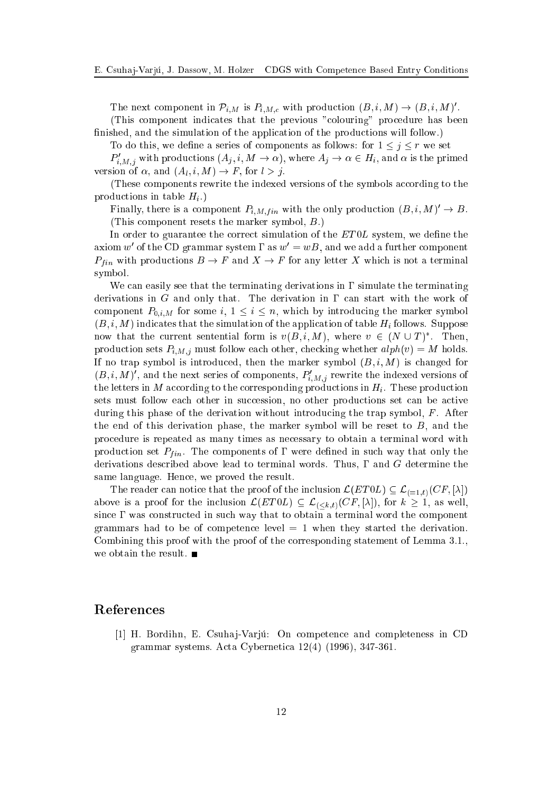The next component in  $\mathcal{P}_{i,M}$  is  $P_{i,M,c}$  with production  $(B, i, M) \to (B, i, M)'.$ 

(This component indicates that the previous "colouring" procedure has been finished, and the simulation of the application of the productions will follow.)

To do this, we define a series of components as follows: for  $1 \leq j \leq r$  we set

 $P'_{i,M,j}$  with productions  $(A_j,i,M\to\alpha),$  where  $A_j\to\alpha\in H_i,$  and  $\alpha$  is the primed version of  $\alpha$ , and  $(A_l, i, M) \rightarrow F$ , for  $l > j$ .

(These components rewrite the indexed versions of the symbols according to the productions in table  $H_i$ .)

Finally, there is a component  $P_{i,M,fin}$  with the only production  $(B, i, M)' \to B$ . (This omponent resets the marker symbol, B :)

In order to guarantee the correct simulation of the  $ET0L$  system, we define the axiom w' of the CD grammar system  $\Gamma$  as  $w'=wB$ , and we add a further component  $P_{fin}$  with productions  $B \to F$  and  $X \to F$  for any letter X which is not a terminal symbol.

We can easily see that the terminating derivations in  $\Gamma$  simulate the terminating derivations in G and only that. The derivation in  $\Gamma$  can start with the work of component  $P_{0,i,M}$  for some i,  $1 \leq i \leq n$ , which by introducing the marker symbol  $(B, i, M)$  indicates that the simulation of the application of table  $H_i$  follows. Suppose now that the current sentential form is  $v(B, i, M)$ , where  $v \in (N \cup T)^*$ . Then, production sets  $P_{i,M,j}$  must follow each other, checking whether  $alpha(ph(v) = M)$  holds. If no trap symbol is introduced, then the marker symbol  $(B, i, M)$  is changed for  $(B, i, M)'$ , and the next series of components,  $P'_{i,M,j}$  rewrite the indexed versions of the letters in M according to the corresponding productions in  $H_i$ . These production sets must follow each other in succession, no other productions set can be active during this phase of the derivation without introducing the trap symbol,  $F$ . After the end of this derivation phase, the marker symbol will be reset to  $B$ , and the pro
edure is repeated as many times as ne
essary to obtain a terminal word with production set  $P_{fin}$ . The components of  $\Gamma$  were defined in such way that only the derivations described above lead to terminal words. Thus,  $\Gamma$  and  $G$  determine the same language. Hen
e, we proved the result.

The reader can notice that the proof of the inclusion  $\mathcal{L}(ET0L) \subseteq \mathcal{L}_{(=1,t)}(CF, [\lambda])$ above is a proof for the inclusion  $\mathcal{L}(ET0L) \subseteq \mathcal{L}_{( for  $k \geq 1$ , as well,$ since  $\Gamma$  was constructed in such way that to obtain a terminal word the component grammars had to be of competence level  $= 1$  when they started the derivation. Combining this proof with the proof of the corresponding statement of Lemma 3.1. we obtain the result.  $\blacksquare$ 

## Referen
es

[1] H. Bordihn, E. Csuhaj-Varjú: On competence and completeness in CD grammar systems. A
ta Cyberneti
a 12(4) (1996), 347-361.